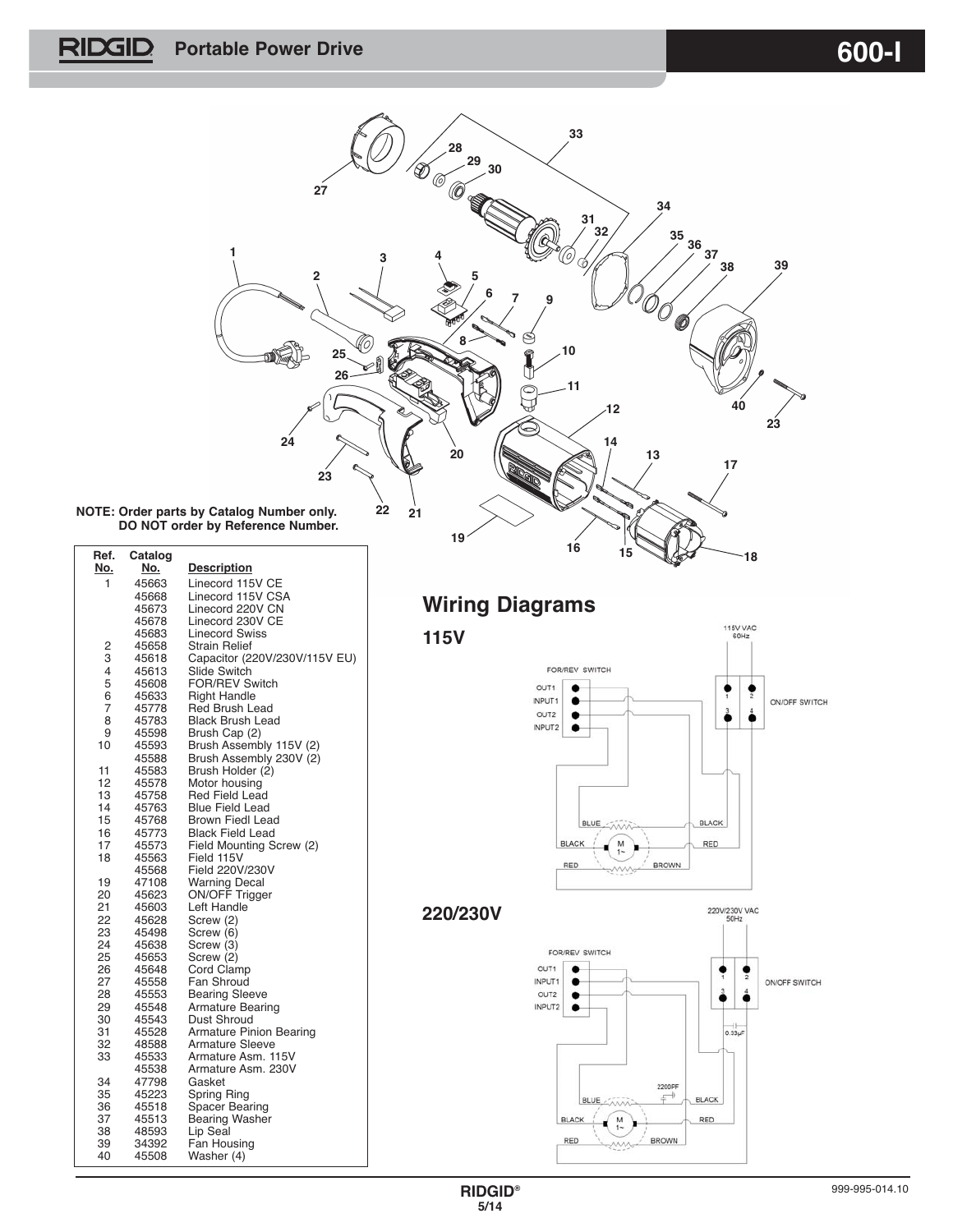**PORTABLE POWER DRIVE CONTRACTE AND ACCEPT ACCEPT OF A SET OF A SET OF A SET OF A SET OF A SET OF A SET OF A SET OF A SET OF A SET OF A SET OF A SET OF A SET OF A SET OF A SET OF A SET OF A SET OF A SET OF A SET OF A SET O** 



**NOTE: Order parts by Catalog Number only. DO NOT order by Reference Number.**

| No.<br>No.<br><b>Description</b><br>1<br>45663<br>Linecord 115V CE<br>Linecord 115V CSA<br>45668<br>Linecord 220V CN<br>45673<br>Linecord 230V CE<br>45678<br><b>Linecord Swiss</b><br>45683<br>2<br><b>Strain Relief</b><br>45658<br>3<br>Capacitor (220V/230V/115V EU)<br>45618<br>4<br>Slide Switch<br>45613<br>5<br><b>FOR/REV Switch</b><br>45608<br>6<br><b>Right Handle</b><br>45633<br>$\overline{7}$<br>Red Brush Lead<br>45778<br>8<br><b>Black Brush Lead</b><br>45783<br>9<br>Brush Cap (2)<br>45598<br>10<br>Brush Assembly 115V (2)<br>45593<br>Brush Assembly 230V (2)<br>45588<br>11<br>Brush Holder (2)<br>45583<br>12<br>45578<br>Motor housing<br>13<br>45758<br><b>Red Field Lead</b><br>14<br>Blue Field Lead<br>45763<br>15<br><b>Brown Fiedl Lead</b><br>45768<br>16<br>45773<br><b>Black Field Lead</b><br>17<br>45573<br>Field Mounting Screw (2)<br>18<br>45563<br>Field 115V<br>Field 220V/230V<br>45568<br>19<br>47108<br><b>Warning Decal</b><br>ON/OFF Trigger<br>20<br>45623<br>21<br>Left Handle<br>45603<br>22<br>45628<br>Screw (2)<br>23<br>45498<br>Screw (6)<br>24<br>Screw (3)<br>45638<br>25<br>45653<br>Screw (2)<br>26<br>Cord Clamp<br>45648<br>27<br>Fan Shroud<br>45558<br>28<br><b>Bearing Sleeve</b><br>45553<br>29<br>45548<br><b>Armature Bearing</b><br>Dust Shroud<br>30<br>45543<br>31<br><b>Armature Pinion Bearing</b><br>45528<br><b>Armature Sleeve</b><br>32<br>48588<br>33<br>45533<br>Armature Asm. 115V<br>Armature Asm. 230V<br>45538<br>34<br>47798<br>Gasket<br>35<br>45223<br>Spring Ring<br>36<br>45518<br><b>Spacer Bearing</b><br>37<br>45513<br><b>Bearing Washer</b><br>38<br>Lip Seal<br>48593<br>39<br>34392<br>Fan Housing<br>40<br>45508<br>Washer (4) | Ref. | Catalog |  |
|--------------------------------------------------------------------------------------------------------------------------------------------------------------------------------------------------------------------------------------------------------------------------------------------------------------------------------------------------------------------------------------------------------------------------------------------------------------------------------------------------------------------------------------------------------------------------------------------------------------------------------------------------------------------------------------------------------------------------------------------------------------------------------------------------------------------------------------------------------------------------------------------------------------------------------------------------------------------------------------------------------------------------------------------------------------------------------------------------------------------------------------------------------------------------------------------------------------------------------------------------------------------------------------------------------------------------------------------------------------------------------------------------------------------------------------------------------------------------------------------------------------------------------------------------------------------------------------------------------------------------------------------------------------------------------------------------------------------------------|------|---------|--|
|                                                                                                                                                                                                                                                                                                                                                                                                                                                                                                                                                                                                                                                                                                                                                                                                                                                                                                                                                                                                                                                                                                                                                                                                                                                                                                                                                                                                                                                                                                                                                                                                                                                                                                                                |      |         |  |
|                                                                                                                                                                                                                                                                                                                                                                                                                                                                                                                                                                                                                                                                                                                                                                                                                                                                                                                                                                                                                                                                                                                                                                                                                                                                                                                                                                                                                                                                                                                                                                                                                                                                                                                                |      |         |  |
|                                                                                                                                                                                                                                                                                                                                                                                                                                                                                                                                                                                                                                                                                                                                                                                                                                                                                                                                                                                                                                                                                                                                                                                                                                                                                                                                                                                                                                                                                                                                                                                                                                                                                                                                |      |         |  |
|                                                                                                                                                                                                                                                                                                                                                                                                                                                                                                                                                                                                                                                                                                                                                                                                                                                                                                                                                                                                                                                                                                                                                                                                                                                                                                                                                                                                                                                                                                                                                                                                                                                                                                                                |      |         |  |
|                                                                                                                                                                                                                                                                                                                                                                                                                                                                                                                                                                                                                                                                                                                                                                                                                                                                                                                                                                                                                                                                                                                                                                                                                                                                                                                                                                                                                                                                                                                                                                                                                                                                                                                                |      |         |  |
|                                                                                                                                                                                                                                                                                                                                                                                                                                                                                                                                                                                                                                                                                                                                                                                                                                                                                                                                                                                                                                                                                                                                                                                                                                                                                                                                                                                                                                                                                                                                                                                                                                                                                                                                |      |         |  |
|                                                                                                                                                                                                                                                                                                                                                                                                                                                                                                                                                                                                                                                                                                                                                                                                                                                                                                                                                                                                                                                                                                                                                                                                                                                                                                                                                                                                                                                                                                                                                                                                                                                                                                                                |      |         |  |
|                                                                                                                                                                                                                                                                                                                                                                                                                                                                                                                                                                                                                                                                                                                                                                                                                                                                                                                                                                                                                                                                                                                                                                                                                                                                                                                                                                                                                                                                                                                                                                                                                                                                                                                                |      |         |  |
|                                                                                                                                                                                                                                                                                                                                                                                                                                                                                                                                                                                                                                                                                                                                                                                                                                                                                                                                                                                                                                                                                                                                                                                                                                                                                                                                                                                                                                                                                                                                                                                                                                                                                                                                |      |         |  |
|                                                                                                                                                                                                                                                                                                                                                                                                                                                                                                                                                                                                                                                                                                                                                                                                                                                                                                                                                                                                                                                                                                                                                                                                                                                                                                                                                                                                                                                                                                                                                                                                                                                                                                                                |      |         |  |
|                                                                                                                                                                                                                                                                                                                                                                                                                                                                                                                                                                                                                                                                                                                                                                                                                                                                                                                                                                                                                                                                                                                                                                                                                                                                                                                                                                                                                                                                                                                                                                                                                                                                                                                                |      |         |  |
|                                                                                                                                                                                                                                                                                                                                                                                                                                                                                                                                                                                                                                                                                                                                                                                                                                                                                                                                                                                                                                                                                                                                                                                                                                                                                                                                                                                                                                                                                                                                                                                                                                                                                                                                |      |         |  |
|                                                                                                                                                                                                                                                                                                                                                                                                                                                                                                                                                                                                                                                                                                                                                                                                                                                                                                                                                                                                                                                                                                                                                                                                                                                                                                                                                                                                                                                                                                                                                                                                                                                                                                                                |      |         |  |
|                                                                                                                                                                                                                                                                                                                                                                                                                                                                                                                                                                                                                                                                                                                                                                                                                                                                                                                                                                                                                                                                                                                                                                                                                                                                                                                                                                                                                                                                                                                                                                                                                                                                                                                                |      |         |  |
|                                                                                                                                                                                                                                                                                                                                                                                                                                                                                                                                                                                                                                                                                                                                                                                                                                                                                                                                                                                                                                                                                                                                                                                                                                                                                                                                                                                                                                                                                                                                                                                                                                                                                                                                |      |         |  |
|                                                                                                                                                                                                                                                                                                                                                                                                                                                                                                                                                                                                                                                                                                                                                                                                                                                                                                                                                                                                                                                                                                                                                                                                                                                                                                                                                                                                                                                                                                                                                                                                                                                                                                                                |      |         |  |
|                                                                                                                                                                                                                                                                                                                                                                                                                                                                                                                                                                                                                                                                                                                                                                                                                                                                                                                                                                                                                                                                                                                                                                                                                                                                                                                                                                                                                                                                                                                                                                                                                                                                                                                                |      |         |  |
|                                                                                                                                                                                                                                                                                                                                                                                                                                                                                                                                                                                                                                                                                                                                                                                                                                                                                                                                                                                                                                                                                                                                                                                                                                                                                                                                                                                                                                                                                                                                                                                                                                                                                                                                |      |         |  |
|                                                                                                                                                                                                                                                                                                                                                                                                                                                                                                                                                                                                                                                                                                                                                                                                                                                                                                                                                                                                                                                                                                                                                                                                                                                                                                                                                                                                                                                                                                                                                                                                                                                                                                                                |      |         |  |
|                                                                                                                                                                                                                                                                                                                                                                                                                                                                                                                                                                                                                                                                                                                                                                                                                                                                                                                                                                                                                                                                                                                                                                                                                                                                                                                                                                                                                                                                                                                                                                                                                                                                                                                                |      |         |  |
|                                                                                                                                                                                                                                                                                                                                                                                                                                                                                                                                                                                                                                                                                                                                                                                                                                                                                                                                                                                                                                                                                                                                                                                                                                                                                                                                                                                                                                                                                                                                                                                                                                                                                                                                |      |         |  |
|                                                                                                                                                                                                                                                                                                                                                                                                                                                                                                                                                                                                                                                                                                                                                                                                                                                                                                                                                                                                                                                                                                                                                                                                                                                                                                                                                                                                                                                                                                                                                                                                                                                                                                                                |      |         |  |
|                                                                                                                                                                                                                                                                                                                                                                                                                                                                                                                                                                                                                                                                                                                                                                                                                                                                                                                                                                                                                                                                                                                                                                                                                                                                                                                                                                                                                                                                                                                                                                                                                                                                                                                                |      |         |  |
|                                                                                                                                                                                                                                                                                                                                                                                                                                                                                                                                                                                                                                                                                                                                                                                                                                                                                                                                                                                                                                                                                                                                                                                                                                                                                                                                                                                                                                                                                                                                                                                                                                                                                                                                |      |         |  |
|                                                                                                                                                                                                                                                                                                                                                                                                                                                                                                                                                                                                                                                                                                                                                                                                                                                                                                                                                                                                                                                                                                                                                                                                                                                                                                                                                                                                                                                                                                                                                                                                                                                                                                                                |      |         |  |
|                                                                                                                                                                                                                                                                                                                                                                                                                                                                                                                                                                                                                                                                                                                                                                                                                                                                                                                                                                                                                                                                                                                                                                                                                                                                                                                                                                                                                                                                                                                                                                                                                                                                                                                                |      |         |  |
|                                                                                                                                                                                                                                                                                                                                                                                                                                                                                                                                                                                                                                                                                                                                                                                                                                                                                                                                                                                                                                                                                                                                                                                                                                                                                                                                                                                                                                                                                                                                                                                                                                                                                                                                |      |         |  |
|                                                                                                                                                                                                                                                                                                                                                                                                                                                                                                                                                                                                                                                                                                                                                                                                                                                                                                                                                                                                                                                                                                                                                                                                                                                                                                                                                                                                                                                                                                                                                                                                                                                                                                                                |      |         |  |
|                                                                                                                                                                                                                                                                                                                                                                                                                                                                                                                                                                                                                                                                                                                                                                                                                                                                                                                                                                                                                                                                                                                                                                                                                                                                                                                                                                                                                                                                                                                                                                                                                                                                                                                                |      |         |  |
|                                                                                                                                                                                                                                                                                                                                                                                                                                                                                                                                                                                                                                                                                                                                                                                                                                                                                                                                                                                                                                                                                                                                                                                                                                                                                                                                                                                                                                                                                                                                                                                                                                                                                                                                |      |         |  |
|                                                                                                                                                                                                                                                                                                                                                                                                                                                                                                                                                                                                                                                                                                                                                                                                                                                                                                                                                                                                                                                                                                                                                                                                                                                                                                                                                                                                                                                                                                                                                                                                                                                                                                                                |      |         |  |
|                                                                                                                                                                                                                                                                                                                                                                                                                                                                                                                                                                                                                                                                                                                                                                                                                                                                                                                                                                                                                                                                                                                                                                                                                                                                                                                                                                                                                                                                                                                                                                                                                                                                                                                                |      |         |  |
|                                                                                                                                                                                                                                                                                                                                                                                                                                                                                                                                                                                                                                                                                                                                                                                                                                                                                                                                                                                                                                                                                                                                                                                                                                                                                                                                                                                                                                                                                                                                                                                                                                                                                                                                |      |         |  |
|                                                                                                                                                                                                                                                                                                                                                                                                                                                                                                                                                                                                                                                                                                                                                                                                                                                                                                                                                                                                                                                                                                                                                                                                                                                                                                                                                                                                                                                                                                                                                                                                                                                                                                                                |      |         |  |
|                                                                                                                                                                                                                                                                                                                                                                                                                                                                                                                                                                                                                                                                                                                                                                                                                                                                                                                                                                                                                                                                                                                                                                                                                                                                                                                                                                                                                                                                                                                                                                                                                                                                                                                                |      |         |  |
|                                                                                                                                                                                                                                                                                                                                                                                                                                                                                                                                                                                                                                                                                                                                                                                                                                                                                                                                                                                                                                                                                                                                                                                                                                                                                                                                                                                                                                                                                                                                                                                                                                                                                                                                |      |         |  |
|                                                                                                                                                                                                                                                                                                                                                                                                                                                                                                                                                                                                                                                                                                                                                                                                                                                                                                                                                                                                                                                                                                                                                                                                                                                                                                                                                                                                                                                                                                                                                                                                                                                                                                                                |      |         |  |
|                                                                                                                                                                                                                                                                                                                                                                                                                                                                                                                                                                                                                                                                                                                                                                                                                                                                                                                                                                                                                                                                                                                                                                                                                                                                                                                                                                                                                                                                                                                                                                                                                                                                                                                                |      |         |  |
|                                                                                                                                                                                                                                                                                                                                                                                                                                                                                                                                                                                                                                                                                                                                                                                                                                                                                                                                                                                                                                                                                                                                                                                                                                                                                                                                                                                                                                                                                                                                                                                                                                                                                                                                |      |         |  |
|                                                                                                                                                                                                                                                                                                                                                                                                                                                                                                                                                                                                                                                                                                                                                                                                                                                                                                                                                                                                                                                                                                                                                                                                                                                                                                                                                                                                                                                                                                                                                                                                                                                                                                                                |      |         |  |
|                                                                                                                                                                                                                                                                                                                                                                                                                                                                                                                                                                                                                                                                                                                                                                                                                                                                                                                                                                                                                                                                                                                                                                                                                                                                                                                                                                                                                                                                                                                                                                                                                                                                                                                                |      |         |  |
|                                                                                                                                                                                                                                                                                                                                                                                                                                                                                                                                                                                                                                                                                                                                                                                                                                                                                                                                                                                                                                                                                                                                                                                                                                                                                                                                                                                                                                                                                                                                                                                                                                                                                                                                |      |         |  |
|                                                                                                                                                                                                                                                                                                                                                                                                                                                                                                                                                                                                                                                                                                                                                                                                                                                                                                                                                                                                                                                                                                                                                                                                                                                                                                                                                                                                                                                                                                                                                                                                                                                                                                                                |      |         |  |
|                                                                                                                                                                                                                                                                                                                                                                                                                                                                                                                                                                                                                                                                                                                                                                                                                                                                                                                                                                                                                                                                                                                                                                                                                                                                                                                                                                                                                                                                                                                                                                                                                                                                                                                                |      |         |  |
|                                                                                                                                                                                                                                                                                                                                                                                                                                                                                                                                                                                                                                                                                                                                                                                                                                                                                                                                                                                                                                                                                                                                                                                                                                                                                                                                                                                                                                                                                                                                                                                                                                                                                                                                |      |         |  |
|                                                                                                                                                                                                                                                                                                                                                                                                                                                                                                                                                                                                                                                                                                                                                                                                                                                                                                                                                                                                                                                                                                                                                                                                                                                                                                                                                                                                                                                                                                                                                                                                                                                                                                                                |      |         |  |
|                                                                                                                                                                                                                                                                                                                                                                                                                                                                                                                                                                                                                                                                                                                                                                                                                                                                                                                                                                                                                                                                                                                                                                                                                                                                                                                                                                                                                                                                                                                                                                                                                                                                                                                                |      |         |  |

# **Wiring Diagrams**

**115V**